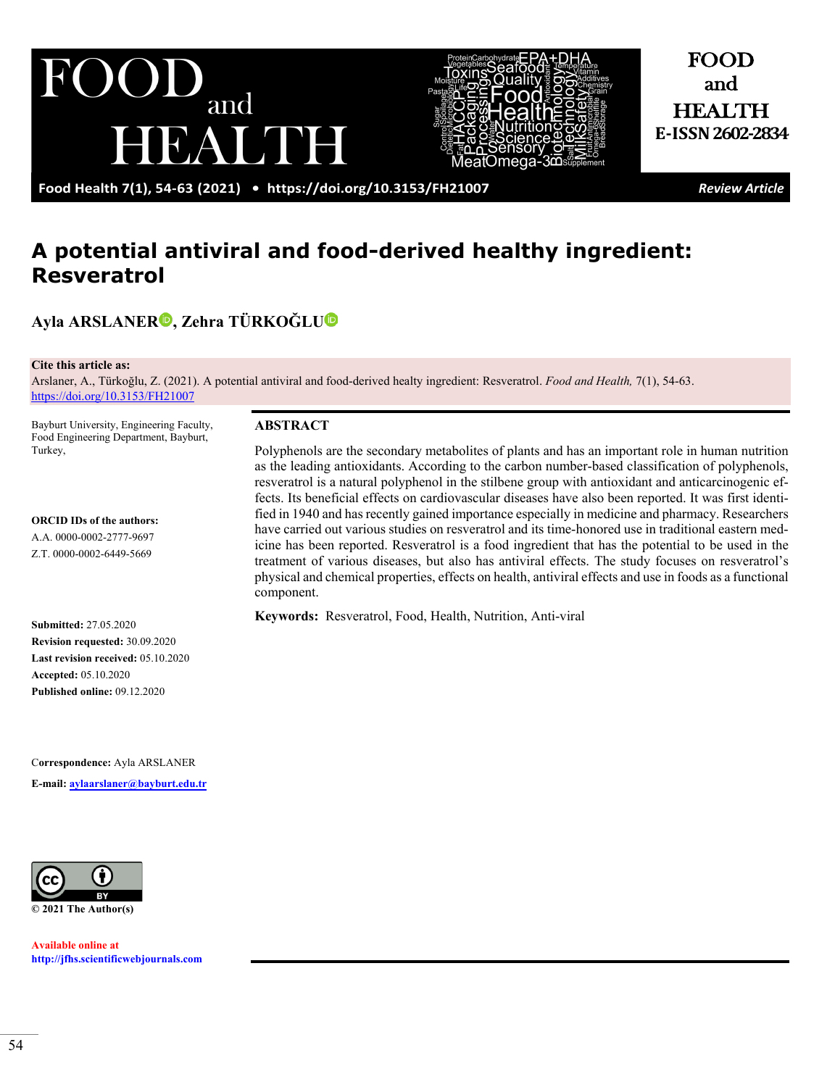



FOOD and HEALTH **E-ISSN2602-2834**

**Food Health 7(1), 54-63 (2021) •<https://doi.org/10.3153/FH21007>***Review Article*

# **A potential antiviral and food-derived healthy ingredient: Resveratrol**

# **Ayla ARSLANER , Zehra TÜRKOĞLU**

#### **Cite this article as:**

Arslaner, A., Türkoğlu, Z. (2021). A potential antiviral and food-derived healty ingredient: Resveratrol. *Food and Health,* 7(1), 54-63. <https://doi.org/10.3153/FH21007>

Bayburt University, Engineering Faculty, Food Engineering Department, Bayburt, Turkey,

**ORCID IDs of the authors:**  A.A. 0000-0002-2777-9697 Z.T. 0000-0002-6449-5669

**Submitted:** 27.05.2020 **Revision requested:** 30.09.2020 **Last revision received:** 05.10.2020 **Accepted:** 05.10.2020 **Published online:** 09.12.2020

C**orrespondence:** Ayla ARSLANER **E-mail: [aylaarslaner@bayburt.edu.tr](mailto:aylaarslaner@bayburt.edu.tr)**



**Available online at [http://jfhs.scientificwebjournals.com](http://jfhs.scientificwebjournals.com/)**

#### **ABSTRACT**

Polyphenols are the secondary metabolites of plants and has an important role in human nutrition as the leading antioxidants. According to the carbon number-based classification of polyphenols, resveratrol is a natural polyphenol in the stilbene group with antioxidant and anticarcinogenic effects. Its beneficial effects on cardiovascular diseases have also been reported. It was first identified in 1940 and has recently gained importance especially in medicine and pharmacy. Researchers have carried out various studies on resveratrol and its time-honored use in traditional eastern medicine has been reported. Resveratrol is a food ingredient that has the potential to be used in the treatment of various diseases, but also has antiviral effects. The study focuses on resveratrol's physical and chemical properties, effects on health, antiviral effects and use in foods as a functional component.

**Keywords:** Resveratrol, Food, Health, Nutrition, Anti-viral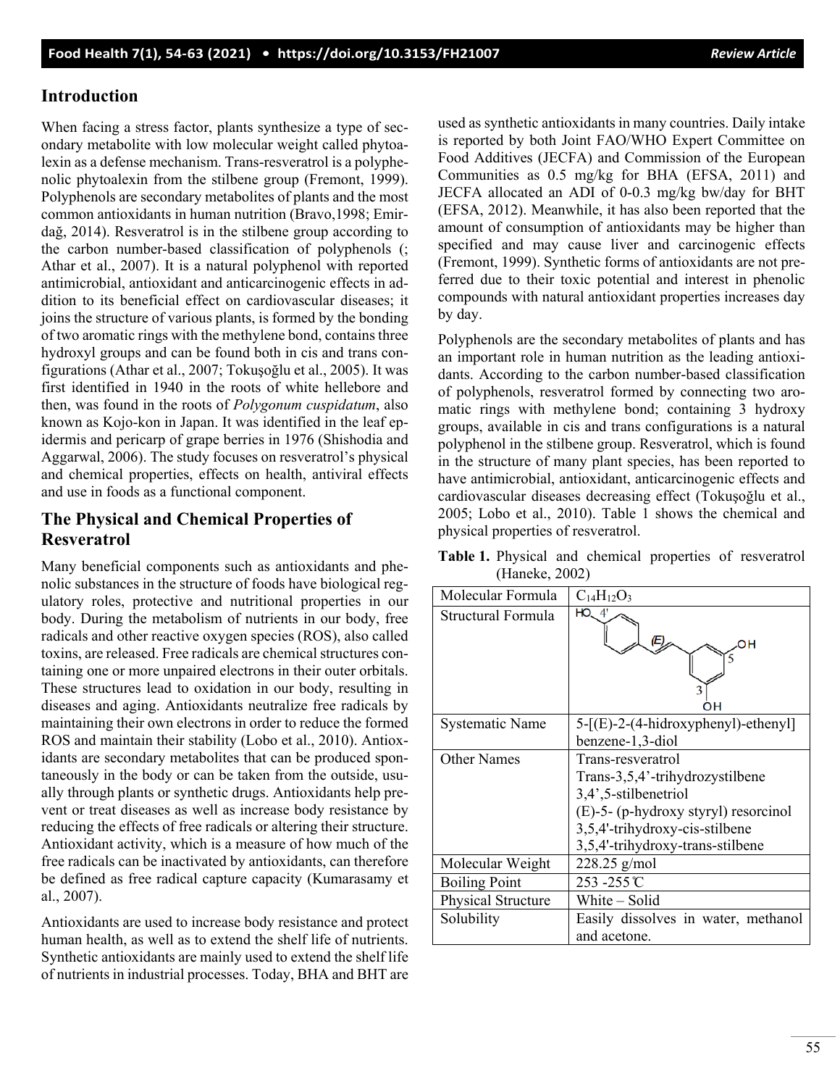# **Introduction**

When facing a stress factor, plants synthesize a type of secondary metabolite with low molecular weight called phytoalexin as a defense mechanism. Trans-resveratrol is a polyphenolic phytoalexin from the stilbene group (Fremont, 1999). Polyphenols are secondary metabolites of plants and the most common antioxidants in human nutrition (Bravo,1998; Emirdağ, 2014). Resveratrol is in the stilbene group according to the carbon number-based classification of polyphenols (; Athar et al., 2007). It is a natural polyphenol with reported antimicrobial, antioxidant and anticarcinogenic effects in addition to its beneficial effect on cardiovascular diseases; it joins the structure of various plants, is formed by the bonding of two aromatic rings with the methylene bond, contains three hydroxyl groups and can be found both in cis and trans configurations (Athar et al., 2007; Tokuşoğlu et al., 2005). It was first identified in 1940 in the roots of white hellebore and then, was found in the roots of *Polygonum cuspidatum*, also known as Kojo-kon in Japan. It was identified in the leaf epidermis and pericarp of grape berries in 1976 (Shishodia and Aggarwal, 2006). The study focuses on resveratrol's physical and chemical properties, effects on health, antiviral effects and use in foods as a functional component.

# **The Physical and Chemical Properties of Resveratrol**

Many beneficial components such as antioxidants and phenolic substances in the structure of foods have biological regulatory roles, protective and nutritional properties in our body. During the metabolism of nutrients in our body, free radicals and other reactive oxygen species (ROS), also called toxins, are released. Free radicals are chemical structures containing one or more unpaired electrons in their outer orbitals. These structures lead to oxidation in our body, resulting in diseases and aging. Antioxidants neutralize free radicals by maintaining their own electrons in order to reduce the formed ROS and maintain their stability (Lobo et al., 2010). Antioxidants are secondary metabolites that can be produced spontaneously in the body or can be taken from the outside, usually through plants or synthetic drugs. Antioxidants help prevent or treat diseases as well as increase body resistance by reducing the effects of free radicals or altering their structure. Antioxidant activity, which is a measure of how much of the free radicals can be inactivated by antioxidants, can therefore be defined as free radical capture capacity (Kumarasamy et al., 2007).

Antioxidants are used to increase body resistance and protect human health, as well as to extend the shelf life of nutrients. Synthetic antioxidants are mainly used to extend the shelf life of nutrients in industrial processes. Today, BHA and BHT are

used as synthetic antioxidants in many countries. Daily intake is reported by both Joint FAO/WHO Expert Committee on Food Additives (JECFA) and Commission of the European Communities as 0.5 mg/kg for BHA (EFSA, 2011) and JECFA allocated an ADI of 0-0.3 mg/kg bw/day for BHT (EFSA, 2012). Meanwhile, it has also been reported that the amount of consumption of antioxidants may be higher than specified and may cause liver and carcinogenic effects (Fremont, 1999). Synthetic forms of antioxidants are not preferred due to their toxic potential and interest in phenolic compounds with natural antioxidant properties increases day by day.

Polyphenols are the secondary metabolites of plants and has an important role in human nutrition as the leading antioxidants. According to the carbon number-based classification of polyphenols, resveratrol formed by connecting two aromatic rings with methylene bond; containing 3 hydroxy groups, available in cis and trans configurations is a natural polyphenol in the stilbene group. Resveratrol, which is found in the structure of many plant species, has been reported to have antimicrobial, antioxidant, anticarcinogenic effects and cardiovascular diseases decreasing effect (Tokuşoğlu et al., 2005; Lobo et al., 2010). Table 1 shows the chemical and physical properties of resveratrol.

|                |  |  | Table 1. Physical and chemical properties of resveratrol |
|----------------|--|--|----------------------------------------------------------|
| (Haneke, 2002) |  |  |                                                          |

| Molecular Formula         | $C_{14}H_{12}O_3$                                        |  |  |  |  |
|---------------------------|----------------------------------------------------------|--|--|--|--|
| Structural Formula        | ΗО                                                       |  |  |  |  |
|                           |                                                          |  |  |  |  |
| <b>Systematic Name</b>    | $5-[E]-2-(4-hidroxyphenyl)-etheny1]$<br>benzene-1,3-diol |  |  |  |  |
| <b>Other Names</b>        | Trans-resveratrol                                        |  |  |  |  |
|                           | Trans-3,5,4'-trihydrozystilbene                          |  |  |  |  |
|                           | 3,4',5-stilbenetriol                                     |  |  |  |  |
|                           | (E)-5- (p-hydroxy styryl) resorcinol                     |  |  |  |  |
|                           | 3,5,4'-trihydroxy-cis-stilbene                           |  |  |  |  |
|                           | 3,5,4'-trihydroxy-trans-stilbene                         |  |  |  |  |
| Molecular Weight          | $228.25$ g/mol                                           |  |  |  |  |
| <b>Boiling Point</b>      | 253 -255℃                                                |  |  |  |  |
| <b>Physical Structure</b> | White - Solid                                            |  |  |  |  |
| Solubility                | Easily dissolves in water, methanol                      |  |  |  |  |
|                           | and acetone.                                             |  |  |  |  |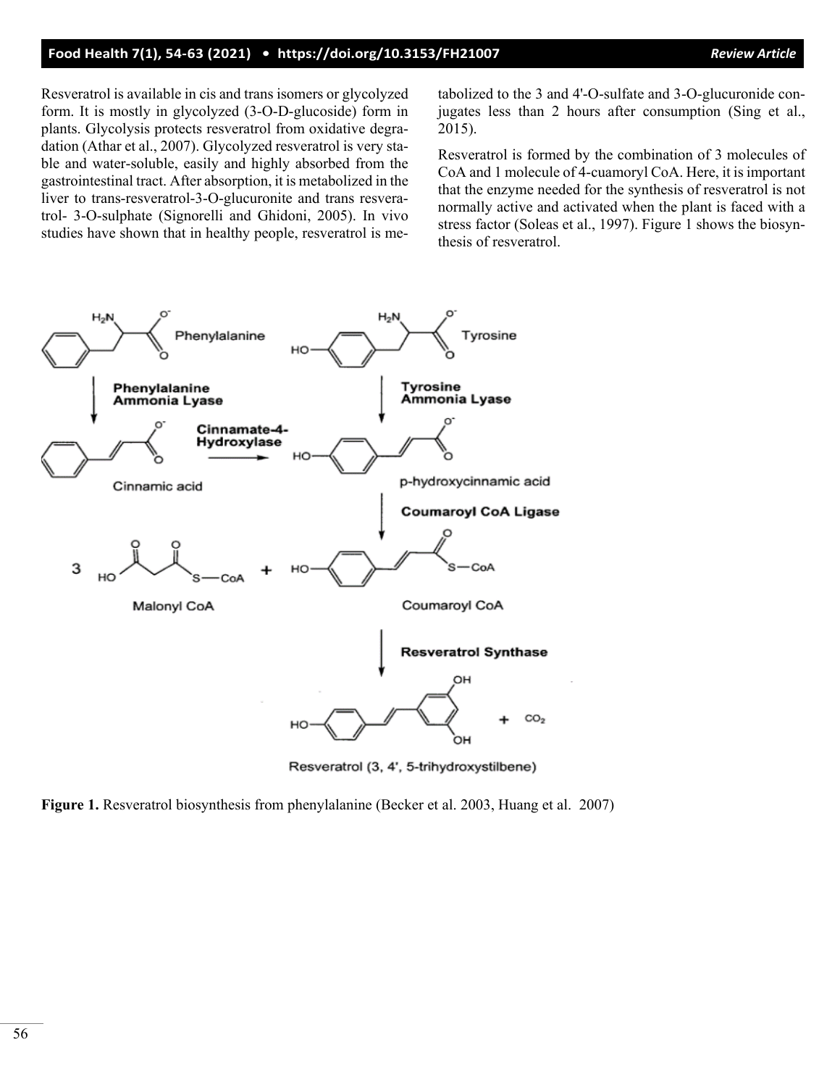### **Food Health 7(1), 54-63 (2021) • <https://doi.org/10.3153/FH21007>***Review Article*

Resveratrol is available in cis and trans isomers or glycolyzed form. It is mostly in glycolyzed (3-O-D-glucoside) form in plants. Glycolysis protects resveratrol from oxidative degradation (Athar et al., 2007). Glycolyzed resveratrol is very stable and water-soluble, easily and highly absorbed from the gastrointestinal tract. After absorption, it is metabolized in the liver to trans-resveratrol-3-O-glucuronite and trans resveratrol- 3-O-sulphate (Signorelli and Ghidoni, 2005). In vivo studies have shown that in healthy people, resveratrol is metabolized to the 3 and 4'-O-sulfate and 3-O-glucuronide conjugates less than 2 hours after consumption (Sing et al., 2015).

Resveratrol is formed by the combination of 3 molecules of CoA and 1 molecule of 4-cuamoryl CoA. Here, it is important that the enzyme needed for the synthesis of resveratrol is not normally active and activated when the plant is faced with a stress factor (Soleas et al., 1997). Figure 1 shows the biosynthesis of resveratrol.



Resveratrol (3, 4', 5-trihydroxystilbene)

**Figure 1.** Resveratrol biosynthesis from phenylalanine (Becker et al. 2003, Huang et al. 2007)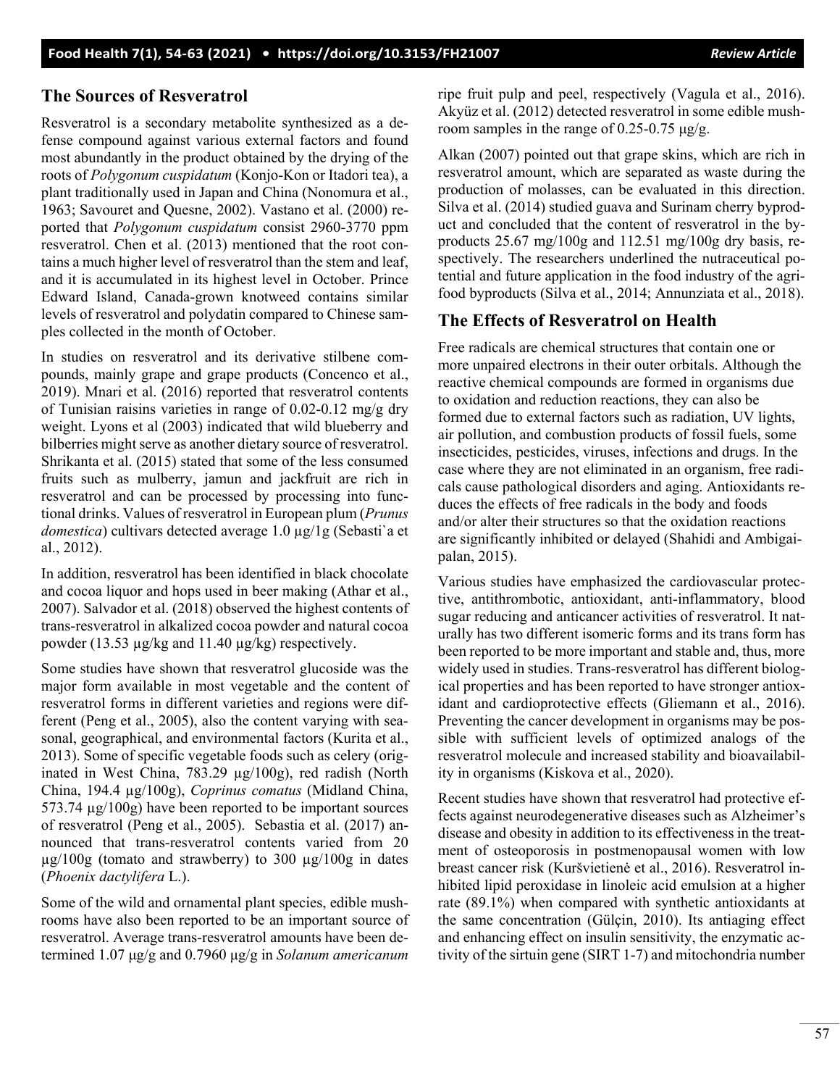### **The Sources of Resveratrol**

Resveratrol is a secondary metabolite synthesized as a defense compound against various external factors and found most abundantly in the product obtained by the drying of the roots of *Polygonum cuspidatum* (Konjo-Kon or Itadori tea), a plant traditionally used in Japan and China (Nonomura et al., 1963; Savouret and Quesne, 2002). Vastano et al. (2000) reported that *Polygonum cuspidatum* consist 2960-3770 ppm resveratrol. Chen et al. (2013) mentioned that the root contains a much higher level of resveratrol than the stem and leaf, and it is accumulated in its highest level in October. Prince Edward Island, Canada-grown knotweed contains similar levels of resveratrol and polydatin compared to Chinese samples collected in the month of October.

In studies on resveratrol and its derivative stilbene compounds, mainly grape and grape products (Concenco et al., 2019). Mnari et al. (2016) reported that resveratrol contents of Tunisian raisins varieties in range of  $0.02$ -0.12 mg/g dry weight. Lyons et al (2003) indicated that wild blueberry and bilberries might serve as another dietary source of resveratrol. Shrikanta et al. (2015) stated that some of the less consumed fruits such as mulberry, jamun and jackfruit are rich in resveratrol and can be processed by processing into functional drinks. Values of resveratrol in European plum (*Prunus domestica*) cultivars detected average 1.0 µg/1g (Sebasti`a et al., 2012).

In addition, resveratrol has been identified in black chocolate and cocoa liquor and hops used in beer making (Athar et al., 2007). Salvador et al. (2018) observed the highest contents of trans-resveratrol in alkalized cocoa powder and natural cocoa powder (13.53 µg/kg and 11.40 µg/kg) respectively.

Some studies have shown that resveratrol glucoside was the major form available in most vegetable and the content of resveratrol forms in different varieties and regions were different (Peng et al., 2005), also the content varying with seasonal, geographical, and environmental factors (Kurita et al., 2013). Some of specific vegetable foods such as celery (originated in West China, 783.29 µg/100g), red radish (North China, 194.4 µg/100g), *Coprinus comatus* (Midland China, 573.74 µg/100g) have been reported to be important sources of resveratrol (Peng et al., 2005). Sebastia et al. (2017) announced that trans-resveratrol contents varied from 20  $\mu$ g/100g (tomato and strawberry) to 300  $\mu$ g/100g in dates (*Phoenix dactylifera* L.).

Some of the wild and ornamental plant species, edible mushrooms have also been reported to be an important source of resveratrol. Average trans-resveratrol amounts have been determined 1.07 μg/g and 0.7960 μg/g in *Solanum americanum*

ripe fruit pulp and peel, respectively (Vagula et al., 2016). Akyüz et al. (2012) detected resveratrol in some edible mushroom samples in the range of 0.25-0.75 μg/g.

Alkan (2007) pointed out that grape skins, which are rich in resveratrol amount, which are separated as waste during the production of molasses, can be evaluated in this direction. Silva et al. (2014) studied guava and Surinam cherry byproduct and concluded that the content of resveratrol in the byproducts 25.67 mg/100g and 112.51 mg/100g dry basis, respectively. The researchers underlined the nutraceutical potential and future application in the food industry of the agrifood byproducts (Silva et al., 2014; Annunziata et al., 2018).

# **The Effects of Resveratrol on Health**

Free radicals are chemical structures that contain one or more unpaired electrons in their outer orbitals. Although the reactive chemical compounds are formed in organisms due to oxidation and reduction reactions, they can also be formed due to external factors such as radiation, UV lights, air pollution, and combustion products of fossil fuels, some insecticides, pesticides, viruses, infections and drugs. In the case where they are not eliminated in an organism, free radicals cause pathological disorders and aging. Antioxidants reduces the effects of free radicals in the body and foods and/or alter their structures so that the oxidation reactions are significantly inhibited or delayed (Shahidi and Ambigaipalan, 2015).

Various studies have emphasized the cardiovascular protective, antithrombotic, antioxidant, anti-inflammatory, blood sugar reducing and anticancer activities of resveratrol. It naturally has two different isomeric forms and its trans form has been reported to be more important and stable and, thus, more widely used in studies. Trans-resveratrol has different biological properties and has been reported to have stronger antioxidant and cardioprotective effects (Gliemann et al., 2016). Preventing the cancer development in organisms may be possible with sufficient levels of optimized analogs of the resveratrol molecule and increased stability and bioavailability in organisms (Kiskova et al., 2020).

Recent studies have shown that resveratrol had protective effects against neurodegenerative diseases such as Alzheimer's disease and obesity in addition to its effectiveness in the treatment of osteoporosis in postmenopausal women with low breast cancer risk (Kuršvietienė et al., 2016). Resveratrol inhibited lipid peroxidase in linoleic acid emulsion at a higher rate (89.1%) when compared with synthetic antioxidants at the same concentration (Gülçin, 2010). Its antiaging effect and enhancing effect on insulin sensitivity, the enzymatic activity of the sirtuin gene (SIRT 1-7) and mitochondria number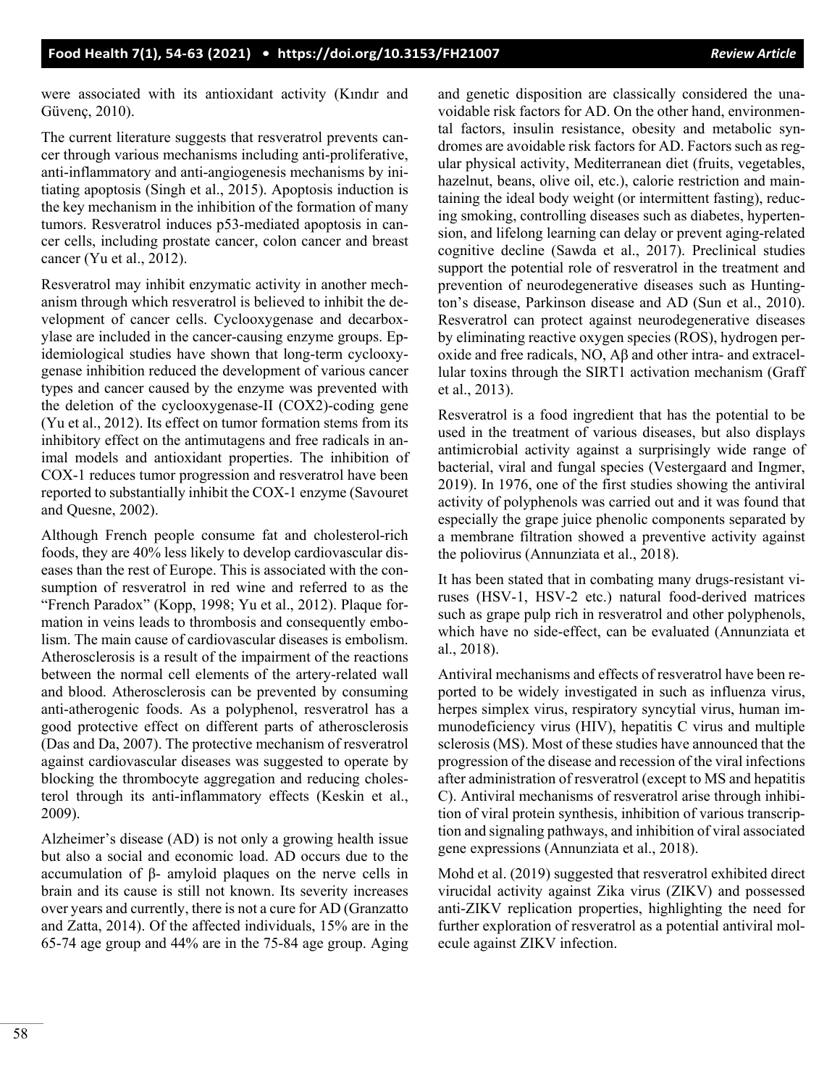were associated with its antioxidant activity (Kındır and Güvenç, 2010).

The current literature suggests that resveratrol prevents cancer through various mechanisms including anti-proliferative, anti-inflammatory and anti-angiogenesis mechanisms by initiating apoptosis (Singh et al., 2015). Apoptosis induction is the key mechanism in the inhibition of the formation of many tumors. Resveratrol induces p53-mediated apoptosis in cancer cells, including prostate cancer, colon cancer and breast cancer (Yu et al., 2012).

Resveratrol may inhibit enzymatic activity in another mechanism through which resveratrol is believed to inhibit the development of cancer cells. Cyclooxygenase and decarboxylase are included in the cancer-causing enzyme groups. Epidemiological studies have shown that long-term cyclooxygenase inhibition reduced the development of various cancer types and cancer caused by the enzyme was prevented with the deletion of the cyclooxygenase-II (COX2)-coding gene (Yu et al., 2012). Its effect on tumor formation stems from its inhibitory effect on the antimutagens and free radicals in animal models and antioxidant properties. The inhibition of COX-1 reduces tumor progression and resveratrol have been reported to substantially inhibit the COX-1 enzyme (Savouret and Quesne, 2002).

Although French people consume fat and cholesterol-rich foods, they are 40% less likely to develop cardiovascular diseases than the rest of Europe. This is associated with the consumption of resveratrol in red wine and referred to as the "French Paradox" (Kopp, 1998; Yu et al., 2012). Plaque formation in veins leads to thrombosis and consequently embolism. The main cause of cardiovascular diseases is embolism. Atherosclerosis is a result of the impairment of the reactions between the normal cell elements of the artery-related wall and blood. Atherosclerosis can be prevented by consuming anti-atherogenic foods. As a polyphenol, resveratrol has a good protective effect on different parts of atherosclerosis (Das and Da, 2007). The protective mechanism of resveratrol against cardiovascular diseases was suggested to operate by blocking the thrombocyte aggregation and reducing cholesterol through its anti-inflammatory effects (Keskin et al., 2009).

Alzheimer's disease (AD) is not only a growing health issue but also a social and economic load. AD occurs due to the accumulation of β- amyloid plaques on the nerve cells in brain and its cause is still not known. Its severity increases over years and currently, there is not a cure for AD (Granzatto and Zatta, 2014). Of the affected individuals, 15% are in the 65-74 age group and 44% are in the 75-84 age group. Aging and genetic disposition are classically considered the unavoidable risk factors for AD. On the other hand, environmental factors, insulin resistance, obesity and metabolic syndromes are avoidable risk factors for AD. Factors such as regular physical activity, Mediterranean diet (fruits, vegetables, hazelnut, beans, olive oil, etc.), calorie restriction and maintaining the ideal body weight (or intermittent fasting), reducing smoking, controlling diseases such as diabetes, hypertension, and lifelong learning can delay or prevent aging-related cognitive decline (Sawda et al., 2017). Preclinical studies support the potential role of resveratrol in the treatment and prevention of neurodegenerative diseases such as Huntington's disease, Parkinson disease and AD (Sun et al., 2010). Resveratrol can protect against neurodegenerative diseases by eliminating reactive oxygen species (ROS), hydrogen peroxide and free radicals, NO, Aβ and other intra- and extracellular toxins through the SIRT1 activation mechanism (Graff et al., 2013).

Resveratrol is a food ingredient that has the potential to be used in the treatment of various diseases, but also displays antimicrobial activity against a surprisingly wide range of bacterial, viral and fungal species (Vestergaard and Ingmer, 2019). In 1976, one of the first studies showing the antiviral activity of polyphenols was carried out and it was found that especially the grape juice phenolic components separated by a membrane filtration showed a preventive activity against the poliovirus (Annunziata et al., 2018).

It has been stated that in combating many drugs-resistant viruses (HSV-1, HSV-2 etc.) natural food-derived matrices such as grape pulp rich in resveratrol and other polyphenols, which have no side-effect, can be evaluated (Annunziata et al., 2018).

Antiviral mechanisms and effects of resveratrol have been reported to be widely investigated in such as influenza virus, herpes simplex virus, respiratory syncytial virus, human immunodeficiency virus (HIV), hepatitis C virus and multiple sclerosis (MS). Most of these studies have announced that the progression of the disease and recession of the viral infections after administration of resveratrol (except to MS and hepatitis C). Antiviral mechanisms of resveratrol arise through inhibition of viral protein synthesis, inhibition of various transcription and signaling pathways, and inhibition of viral associated gene expressions (Annunziata et al., 2018).

Mohd et al. (2019) suggested that resveratrol exhibited direct virucidal activity against Zika virus (ZIKV) and possessed anti-ZIKV replication properties, highlighting the need for further exploration of resveratrol as a potential antiviral molecule against ZIKV infection.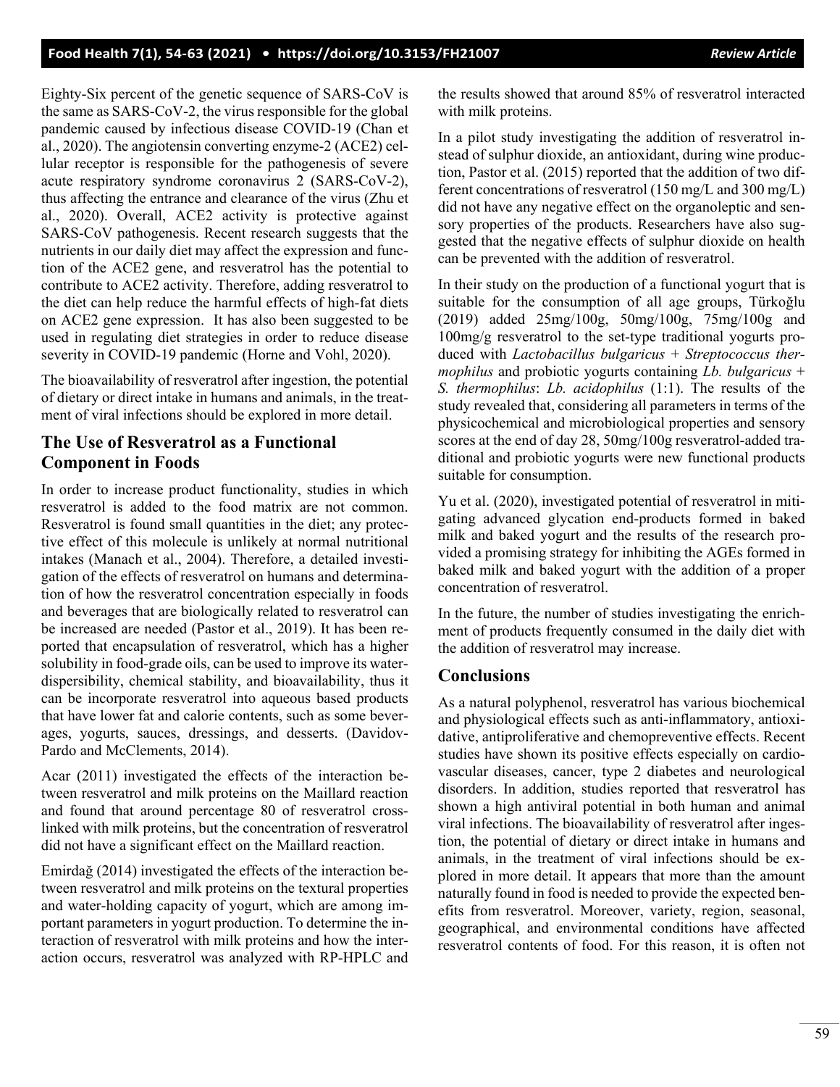Eighty-Six percent of the genetic sequence of SARS-CoV is the same as SARS-CoV-2, the virus responsible for the global pandemic caused by infectious disease COVID-19 (Chan et al., 2020). The angiotensin converting enzyme-2 (ACE2) cellular receptor is responsible for the pathogenesis of severe acute respiratory syndrome coronavirus 2 (SARS-CoV-2), thus affecting the entrance and clearance of the virus (Zhu et al., 2020). Overall, ACE2 activity is protective against SARS-CoV pathogenesis. Recent research suggests that the nutrients in our daily diet may affect the expression and function of the ACE2 gene, and resveratrol has the potential to contribute to ACE2 activity. Therefore, adding resveratrol to the diet can help reduce the harmful effects of high-fat diets on ACE2 gene expression. It has also been suggested to be used in regulating diet strategies in order to reduce disease severity in COVID-19 pandemic (Horne and Vohl, 2020).

The bioavailability of resveratrol after ingestion, the potential of dietary or direct intake in humans and animals, in the treatment of viral infections should be explored in more detail.

# **The Use of Resveratrol as a Functional Component in Foods**

In order to increase product functionality, studies in which resveratrol is added to the food matrix are not common. Resveratrol is found small quantities in the diet; any protective effect of this molecule is unlikely at normal nutritional intakes (Manach et al., 2004). Therefore, a detailed investigation of the effects of resveratrol on humans and determination of how the resveratrol concentration especially in foods and beverages that are biologically related to resveratrol can be increased are needed (Pastor et al., 2019). It has been reported that encapsulation of resveratrol, which has a higher solubility in food-grade oils, can be used to improve its waterdispersibility, chemical stability, and bioavailability, thus it can be incorporate resveratrol into aqueous based products that have lower fat and calorie contents, such as some beverages, yogurts, sauces, dressings, and desserts. (Davidov-Pardo and McClements, 2014).

Acar (2011) investigated the effects of the interaction between resveratrol and milk proteins on the Maillard reaction and found that around percentage 80 of resveratrol crosslinked with milk proteins, but the concentration of resveratrol did not have a significant effect on the Maillard reaction.

Emirdağ (2014) investigated the effects of the interaction between resveratrol and milk proteins on the textural properties and water-holding capacity of yogurt, which are among important parameters in yogurt production. To determine the interaction of resveratrol with milk proteins and how the interaction occurs, resveratrol was analyzed with RP-HPLC and the results showed that around 85% of resveratrol interacted with milk proteins.

In a pilot study investigating the addition of resveratrol instead of sulphur dioxide, an antioxidant, during wine production, Pastor et al. (2015) reported that the addition of two different concentrations of resveratrol (150 mg/L and 300 mg/L) did not have any negative effect on the organoleptic and sensory properties of the products. Researchers have also suggested that the negative effects of sulphur dioxide on health can be prevented with the addition of resveratrol.

In their study on the production of a functional yogurt that is suitable for the consumption of all age groups, Türkoğlu (2019) added 25mg/100g, 50mg/100g, 75mg/100g and 100mg/g resveratrol to the set-type traditional yogurts produced with *Lactobacillus bulgaricus* + *Streptococcus thermophilus* and probiotic yogurts containing *Lb. bulgaricus* + *S. thermophilus*: *Lb. acidophilus* (1:1). The results of the study revealed that, considering all parameters in terms of the physicochemical and microbiological properties and sensory scores at the end of day 28, 50mg/100g resveratrol-added traditional and probiotic yogurts were new functional products suitable for consumption.

Yu et al. (2020), investigated potential of resveratrol in mitigating advanced glycation end-products formed in baked milk and baked yogurt and the results of the research provided a promising strategy for inhibiting the AGEs formed in baked milk and baked yogurt with the addition of a proper concentration of resveratrol.

In the future, the number of studies investigating the enrichment of products frequently consumed in the daily diet with the addition of resveratrol may increase.

## **Conclusions**

As a natural polyphenol, resveratrol has various biochemical and physiological effects such as anti-inflammatory, antioxidative, antiproliferative and chemopreventive effects. Recent studies have shown its positive effects especially on cardiovascular diseases, cancer, type 2 diabetes and neurological disorders. In addition, studies reported that resveratrol has shown a high antiviral potential in both human and animal viral infections. The bioavailability of resveratrol after ingestion, the potential of dietary or direct intake in humans and animals, in the treatment of viral infections should be explored in more detail. It appears that more than the amount naturally found in food is needed to provide the expected benefits from resveratrol. Moreover, variety, region, seasonal, geographical, and environmental conditions have affected resveratrol contents of food. For this reason, it is often not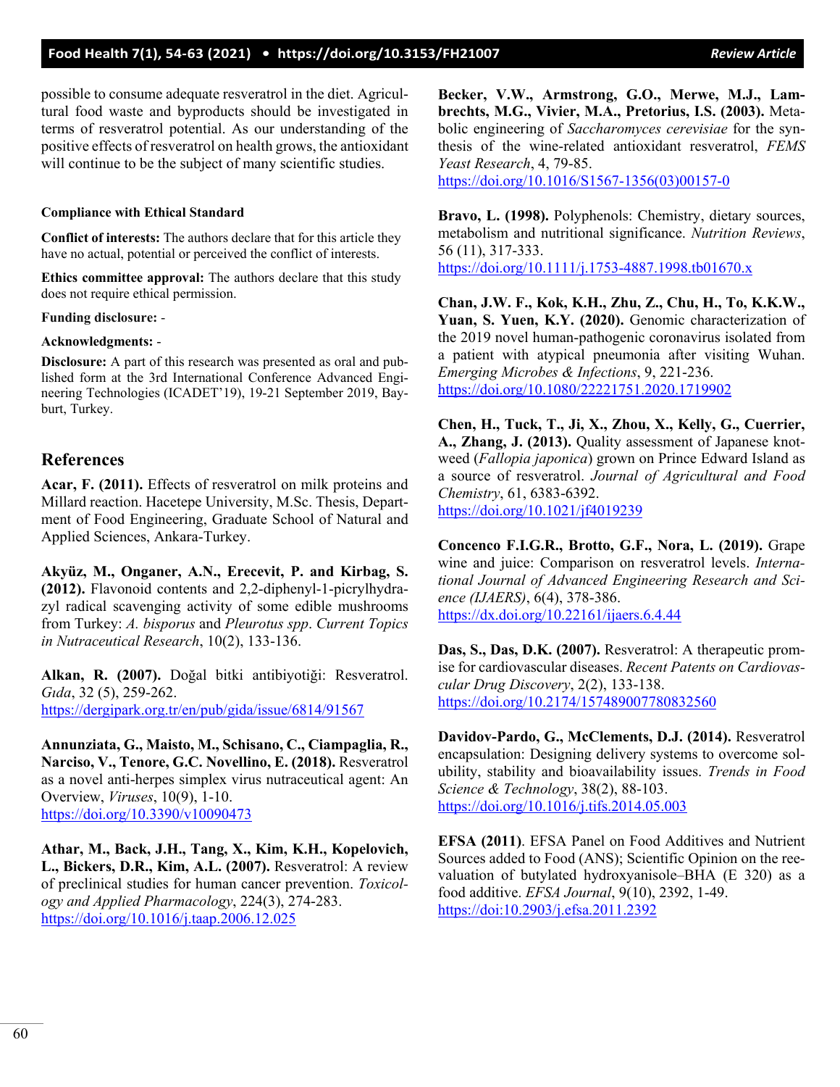### **Food Health 7(1), 54-63 (2021) • <https://doi.org/10.3153/FH21007>** *Review Article*

possible to consume adequate resveratrol in the diet. Agricultural food waste and byproducts should be investigated in terms of resveratrol potential. As our understanding of the positive effects of resveratrol on health grows, the antioxidant will continue to be the subject of many scientific studies.

#### **Compliance with Ethical Standard**

**Conflict of interests:** The authors declare that for this article they have no actual, potential or perceived the conflict of interests.

**Ethics committee approval:** The authors declare that this study does not require ethical permission.

**Funding disclosure:** -

#### **Acknowledgments:** -

**Disclosure:** A part of this research was presented as oral and published form at the 3rd International Conference Advanced Engineering Technologies (ICADET'19), 19-21 September 2019, Bayburt, Turkey.

### **References**

**Acar, F. (2011).** Effects of resveratrol on milk proteins and Millard reaction. Hacetepe University, M.Sc. Thesis, Department of Food Engineering, Graduate School of Natural and Applied Sciences, Ankara-Turkey.

**Akyüz, M., Onganer, A.N., Erecevit, P. and Kirbag, S. (2012).** Flavonoid contents and 2,2-diphenyl-1-picrylhydrazyl radical scavenging activity of some edible mushrooms from Turkey: *A. bisporus* and *Pleurotus spp*. *Current Topics in Nutraceutical Research*, 10(2), 133-136.

**Alkan, R. (2007).** Doğal bitki antibiyotiği: Resveratrol. *Gıda*, 32 (5), 259-262. <https://dergipark.org.tr/en/pub/gida/issue/6814/91567>

**Annunziata, G., Maisto, M., Schisano, C., Ciampaglia, R., Narciso, V., Tenore, G.C. Novellino, E. (2018).** Resveratrol as a novel anti-herpes simplex virus nutraceutical agent: An Overview, *Viruses*, 10(9), 1-10. <https://doi.org/10.3390/v10090473>

**Athar, M., Back, J.H., Tang, X., Kim, K.H., Kopelovich, L., Bickers, D.R., Kim, A.L. (2007).** Resveratrol: A review of preclinical studies for human cancer prevention. *Toxicology and Applied Pharmacology*, 224(3), 274-283. <https://doi.org/10.1016/j.taap.2006.12.025>

**Becker, V.W., Armstrong, G.O., Merwe, M.J., Lambrechts, M.G., Vivier, M.A., Pretorius, I.S. (2003).** Metabolic engineering of *Saccharomyces cerevisiae* for the synthesis of the wine-related antioxidant resveratrol, *FEMS Yeast Research*, 4, 79-85. [https://doi.org/10.1016/S1567-1356\(03\)00157-0](https://doi.org/10.1016/S1567-1356(03)00157-0)

**Bravo, L. (1998).** Polyphenols: Chemistry, dietary sources, metabolism and nutritional significance. *Nutrition Reviews*, 56 (11), 317-333.

<https://doi.org/10.1111/j.1753-4887.1998.tb01670.x>

**Chan, J.W. F., Kok, K.H., Zhu, Z., Chu, H., To, K.K.W., Yuan, S. Yuen, K.Y. (2020).** Genomic characterization of the 2019 novel human-pathogenic coronavirus isolated from a patient with atypical pneumonia after visiting Wuhan. *Emerging Microbes & Infections*, 9, 221-236. <https://doi.org/10.1080/22221751.2020.1719902>

**Chen, H., Tuck, T., Ji, X., Zhou, X., Kelly, G., Cuerrier, A., Zhang, J. (2013).** Quality assessment of Japanese knotweed (*Fallopia japonica*) grown on Prince Edward Island as a source of resveratrol. *Journal of Agricultural and Food Chemistry*, 61, 6383-6392. <https://doi.org/10.1021/jf4019239>

**Concenco F.I.G.R., Brotto, G.F., Nora, L. (2019).** Grape wine and juice: Comparison on resveratrol levels. *International Journal of Advanced Engineering Research and Science (IJAERS)*, 6(4), 378-386. <https://dx.doi.org/10.22161/ijaers.6.4.44>

**Das, S., Das, D.K. (2007).** Resveratrol: A therapeutic promise for cardiovascular diseases. *Recent Patents on Cardiovascular Drug Discovery*, 2(2), 133-138. <https://doi.org/10.2174/157489007780832560>

**Davidov-Pardo, G., McClements, D.J. (2014).** Resveratrol encapsulation: Designing delivery systems to overcome solubility, stability and bioavailability issues. *Trends in Food Science & Technology*, 38(2), 88-103. <https://doi.org/10.1016/j.tifs.2014.05.003>

**EFSA (2011)**. EFSA Panel on Food Additives and Nutrient Sources added to Food (ANS); Scientific Opinion on the reevaluation of butylated hydroxyanisole–BHA (E 320) as a food additive. *EFSA Journal*, 9(10), 2392, 1-49. <https://doi:10.2903/j.efsa.2011.2392>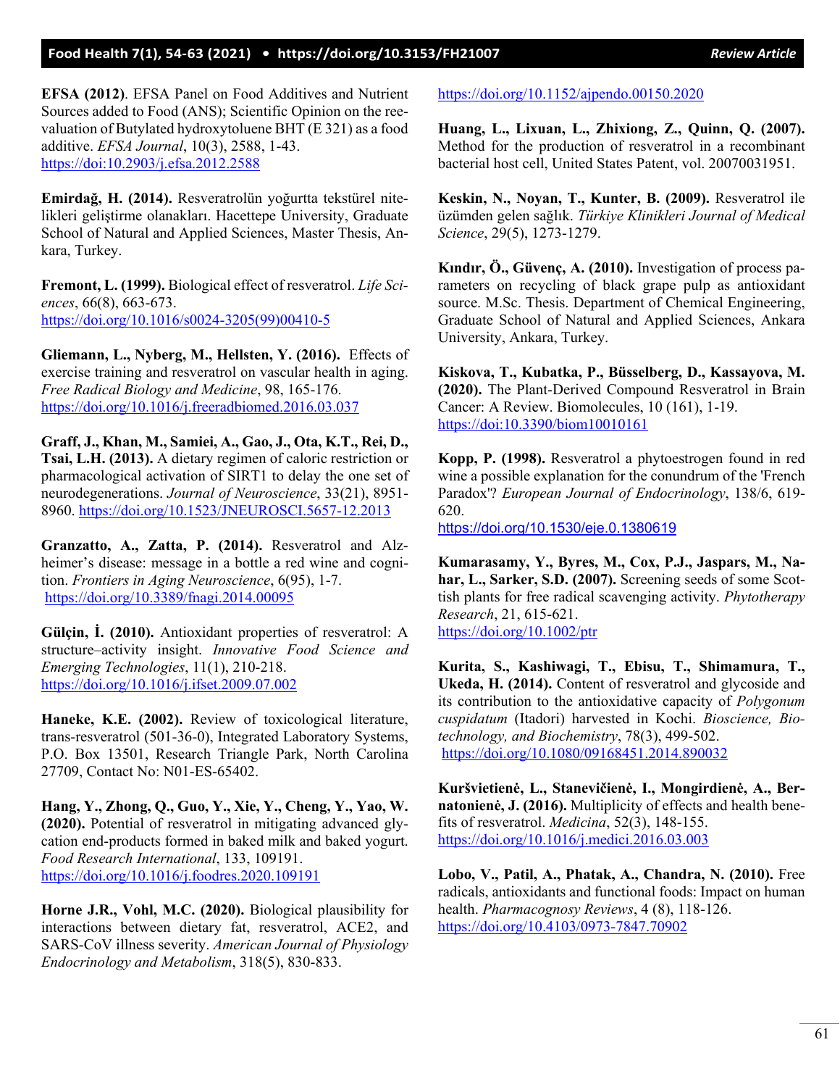### **Food Health 7(1), 54-63 (2021) • <https://doi.org/10.3153/FH21007>***Review Article*

**EFSA (2012)**. EFSA Panel on Food Additives and Nutrient Sources added to Food (ANS); Scientific Opinion on the reevaluation of Butylated hydroxytoluene BHT (E 321) as a food additive. *EFSA Journal*, 10(3), 2588, 1-43. <https://doi:10.2903/j.efsa.2012.2588>

**Emirdağ, H. (2014).** Resveratrolün yoğurtta tekstürel nitelikleri geliştirme olanakları. Hacettepe University, Graduate School of Natural and Applied Sciences, Master Thesis, Ankara, Turkey.

**Fremont, L. (1999).** Biological effect of resveratrol. *Life Sciences*, 66(8), 663-673. [https://doi.org/10.1016/s0024-3205\(99\)00410-5](https://doi.org/10.1016/s0024-3205(99)00410-5)

**Gliemann, L., Nyberg, M., Hellsten, Y. (2016).** Effects of exercise training and resveratrol on vascular health in aging. *Free Radical Biology and Medicine*, 98, 165-176. <https://doi.org/10.1016/j.freeradbiomed.2016.03.037>

**Graff, J., Khan, M., Samiei, A., Gao, J., Ota, K.T., Rei, D., Tsai, L.H. (2013).** A dietary regimen of caloric restriction or pharmacological activation of SIRT1 to delay the one set of neurodegenerations. *Journal of Neuroscience*, 33(21), 8951- 8960. [https://doi.org/10.1523/JNEUROSCI.5657](https://doi.org/10.1523/JNEUROSCI.5657-12.2013)-12.2013

**Granzatto, A., Zatta, P. (2014).** Resveratrol and Alzheimer's disease: message in a bottle a red wine and cognition. *Frontiers in Aging Neuroscience*, 6(95), 1-7. <https://doi.org/10.3389/fnagi.2014.00095>

**Gülçin, İ. (2010).** Antioxidant properties of resveratrol: A structure–activity insight. *Innovative Food Science and Emerging Technologies*, 11(1), 210-218. <https://doi.org/10.1016/j.ifset.2009.07.002>

**Haneke, K.E. (2002).** Review of toxicological literature, trans-resveratrol (501-36-0), Integrated Laboratory Systems, P.O. Box 13501, Research Triangle Park, North Carolina 27709, Contact No: N01-ES-65402.

**Hang, Y., Zhong, Q., Guo, Y., Xie, Y., Cheng, Y., Yao, W. (2020).** Potential of resveratrol in mitigating advanced glycation end-products formed in baked milk and baked yogurt. *Food Research International*, 133, 109191. <https://doi.org/10.1016/j.foodres.2020.109191>

**Horne J.R., Vohl, M.C. (2020).** Biological plausibility for interactions between dietary fat, resveratrol, ACE2, and SARS-CoV illness severity. *American Journal of Physiology Endocrinology and Metabolism*, 318(5), 830-833.

<https://doi.org/10.1152/ajpendo.00150.2020>

**Huang, L., Lixuan, L., Zhixiong, Z., Quinn, Q. (2007).** Method for the production of resveratrol in a recombinant bacterial host cell, United States Patent, vol. 20070031951.

**Keskin, N., Noyan, T., Kunter, B. (2009).** Resveratrol ile üzümden gelen sağlık. *Türkiye Klinikleri Journal of Medical Science*, 29(5), 1273-1279.

**Kındır, Ö., Güvenç, A. (2010).** Investigation of process parameters on recycling of black grape pulp as antioxidant source. M.Sc. Thesis. Department of Chemical Engineering, Graduate School of Natural and Applied Sciences, Ankara University, Ankara, Turkey.

**Kiskova, T., Kubatka, P., Büsselberg, D., Kassayova, M. (2020).** The Plant-Derived Compound Resveratrol in Brain Cancer: A Review. Biomolecules, 10 (161), 1-19. <https://doi:10.3390/biom10010161>

**Kopp, P. (1998).** Resveratrol a phytoestrogen found in red wine a possible explanation for the conundrum of the 'French Paradox'? *European Journal of Endocrinology*, 138/6, 619- 620.

<https://doi.org/10.1530/eje.0.1380619>

**Kumarasamy, Y., Byres, M., Cox, P.J., Jaspars, M., Nahar, L., Sarker, S.D. (2007).** Screening seeds of some Scottish plants for free radical scavenging activity. *Phytotherapy Research*, 21, 615-621. <https://doi.org/10.1002/ptr>

**Kurita, S., Kashiwagi, T., Ebisu, T., Shimamura, T., Ukeda, H. (2014).** Content of resveratrol and glycoside and its contribution to the antioxidative capacity of *Polygonum cuspidatum* (Itadori) harvested in Kochi. *Bioscience, Biotechnology, and Biochemistry*, 78(3), 499-502. <https://doi.org/10.1080/09168451.2014.890032>

**Kuršvietienė, L., Stanevičienė, I., Mongirdienė, A., Bernatonienė, J. (2016).** Multiplicity of effects and health benefits of resveratrol. *Medicina*, 52(3), 148-155. <https://doi.org/10.1016/j.medici.2016.03.003>

**Lobo, V., Patil, A., Phatak, A., Chandra, N. (2010).** Free radicals, antioxidants and functional foods: Impact on human health. *Pharmacognosy Reviews*, 4 (8), 118-126. <https://doi.org/10.4103/0973-7847.70902>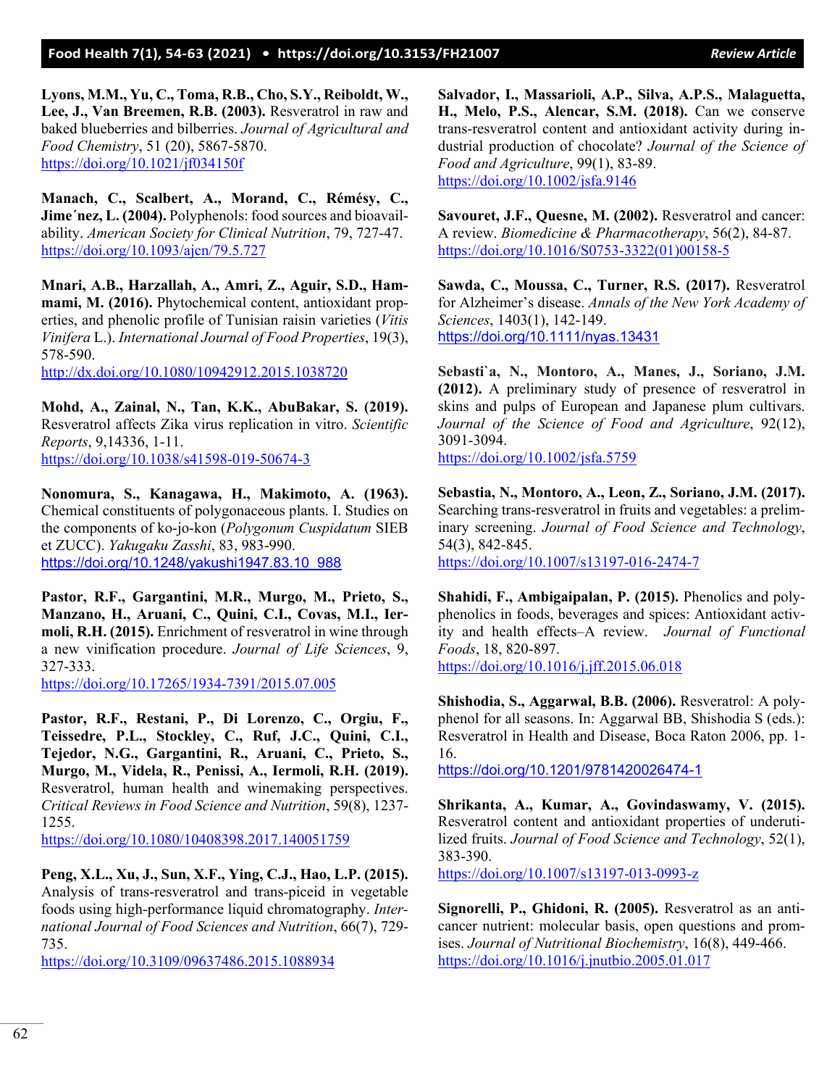**Lyons, M.M., Yu, C., Toma, R.B., Cho, S.Y., Reiboldt, W., Lee, J., Van Breemen, R.B. (2003).** Resveratrol in raw and baked blueberries and bilberries. *Journal of Agricultural and Food Chemistry*, 51 (20), 5867-5870. <https://doi.org/10.1021/jf034150f>

**Manach, C., Scalbert, A., Morand, C., Rémésy, C.,**  Jime'nez, L. (2004). Polyphenols: food sources and bioavailability. *American Society for Clinical Nutrition*, 79, 727-47. <https://doi.org/10.1093/ajcn/79.5.727>

**Mnari, A.B., Harzallah, A., Amri, Z., Aguir, S.D., Hammami, M. (2016).** Phytochemical content, antioxidant properties, and phenolic profile of Tunisian raisin varieties (*Vitis Vinifera* L.). *International Journal of Food Properties*, 19(3), 578-590.

<http://dx.doi.org/10.1080/10942912.2015.1038720>

**Mohd, A., Zainal, N., Tan, K.K., AbuBakar, S. (2019).**  Resveratrol affects Zika virus replication in vitro. *Scientific Reports*, 9,14336, 1-11. <https://doi.org/10.1038/s41598-019-50674-3>

**Nonomura, S., Kanagawa, H., Makimoto, A. (1963).** Chemical constituents of polygonaceous plants. I. Studies on the components of ko-jo-kon (*Polygonum Cuspidatum* SIEB et ZUCC). *Yakugaku Zasshi*, 83, 983-990. [https://doi.org/10.1248/yakushi1947.83.10\\_988](https://doi.org/10.1248/yakushi1947.83.10_988)

**Pastor, R.F., Gargantini, M.R., Murgo, M., Prieto, S., Manzano, H., Aruani, C., Quini, C.I., Covas, M.I., Iermoli, R.H. (2015).** Enrichment of resveratrol in wine through a new vinification procedure. *Journal of Life Sciences*, 9, 327-333.

<https://doi.org/10.17265/1934-7391/2015.07.005>

**Pastor, R.F., Restani, P., Di Lorenzo, C., Orgiu, F., Teissedre, P.L., Stockley, C., Ruf, J.C., Quini, C.I., Tejedor, N.G., Gargantini, R., Aruani, C., Prieto, S., Murgo, M., Videla, R., Penissi, A., Iermoli, R.H. (2019).** Resveratrol, human health and winemaking perspectives. *Critical Reviews in Food Science and Nutrition*, 59(8), 1237- 1255.

<https://doi.org/10.1080/10408398.2017.140051759>

**Peng, X.L., Xu, J., Sun, X.F., Ying, C.J., Hao, L.P. (2015).**  Analysis of trans-resveratrol and trans-piceid in vegetable foods using high-performance liquid chromatography. *International Journal of Food Sciences and Nutrition*, 66(7), 729- 735.

<https://doi.org/10.3109/09637486.2015.1088934>

**Salvador, I., Massarioli, A.P., Silva, A.P.S., Malaguetta, H., Melo, P.S., Alencar, S.M. (2018).** Can we conserve trans-resveratrol content and antioxidant activity during industrial production of chocolate? *Journal of the Science of Food and Agriculture*, 99(1), 83-89. <https://doi.org/10.1002/jsfa.9146>

**Savouret, J.F., Quesne, M. (2002).** Resveratrol and cancer: A review. *Biomedicine & Pharmacotherapy*, 56(2), 84-87. [https://doi.org/10.1016/S0753-3322\(01\)00158-5](https://doi.org/10.1016/S0753-3322(01)00158-5)

**Sawda, C., Moussa, C., Turner, R.S. (2017).** Resveratrol for Alzheimer's disease. *Annals of the New York Academy of Sciences*, 1403(1), 142-149. <https://doi.org/10.1111/nyas.13431>

**Sebasti`a, N., Montoro, A., Manes, J., Soriano, J.M. (2012).** A preliminary study of presence of resveratrol in skins and pulps of European and Japanese plum cultivars. *Journal of the Science of Food and Agriculture*, 92(12), 3091-3094.

<https://doi.org/10.1002/jsfa.5759>

**Sebastia, N., Montoro, A., Leon, Z., Soriano, J.M. (2017).** Searching trans-resveratrol in fruits and vegetables: a preliminary screening. *Journal of Food Science and Technology*, 54(3), 842-845. <https://doi.org/10.1007/s13197-016-2474-7>

**Shahidi, F., Ambigaipalan, P. (2015).** Phenolics and polyphenolics in foods, beverages and spices: Antioxidant activity and health effects–A review. *Journal of Functional Foods*, 18, 820-897.

<https://doi.org/10.1016/j.jff.2015.06.018>

**Shishodia, S., Aggarwal, B.B. (2006).** Resveratrol: A polyphenol for all seasons. In: Aggarwal BB, Shishodia S (eds.): Resveratrol in Health and Disease, Boca Raton 2006, pp. 1- 16.

<https://doi.org/10.1201/9781420026474-1>

**Shrikanta, A., Kumar, A., Govindaswamy, V. (2015).** Resveratrol content and antioxidant properties of underutilized fruits. *Journal of Food Science and Technology*, 52(1), 383-390.

[https://doi.org/10.1007/s13197-013-0993-](https://doi.org/10.1007/s13197-013-0993-z)z

**Signorelli, P., Ghidoni, R. (2005).** Resveratrol as an anticancer nutrient: molecular basis, open questions and promises. *Journal of Nutritional Biochemistry*, 16(8), 449-466. <https://doi.org/10.1016/j.jnutbio.2005.01.017>